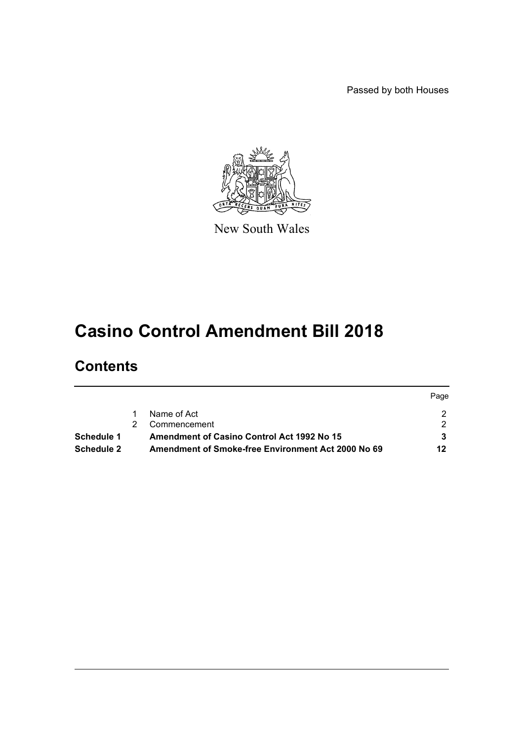Passed by both Houses



New South Wales

# **Casino Control Amendment Bill 2018**

# **Contents**

|            |                                                           | Page |
|------------|-----------------------------------------------------------|------|
|            | Name of Act                                               |      |
|            | Commencement                                              |      |
| Schedule 1 | <b>Amendment of Casino Control Act 1992 No 15</b>         |      |
| Schedule 2 | <b>Amendment of Smoke-free Environment Act 2000 No 69</b> | 12   |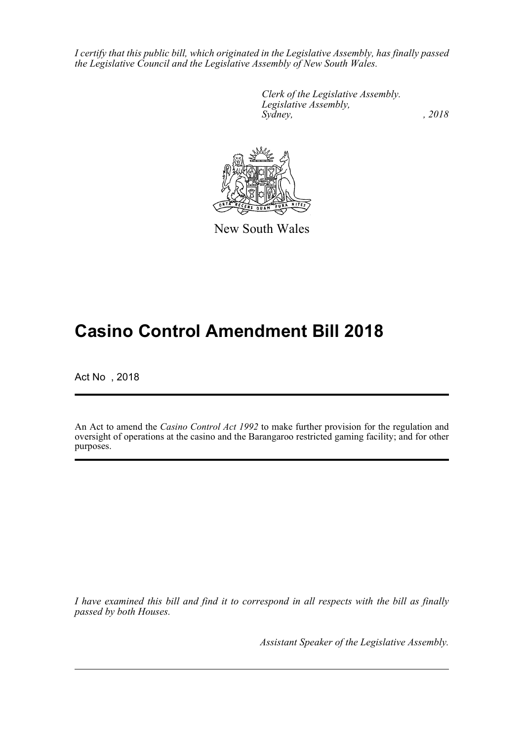*I certify that this public bill, which originated in the Legislative Assembly, has finally passed the Legislative Council and the Legislative Assembly of New South Wales.*

> *Clerk of the Legislative Assembly. Legislative Assembly, Sydney, , 2018*



New South Wales

# **Casino Control Amendment Bill 2018**

Act No , 2018

An Act to amend the *Casino Control Act 1992* to make further provision for the regulation and oversight of operations at the casino and the Barangaroo restricted gaming facility; and for other purposes.

*I have examined this bill and find it to correspond in all respects with the bill as finally passed by both Houses.*

*Assistant Speaker of the Legislative Assembly.*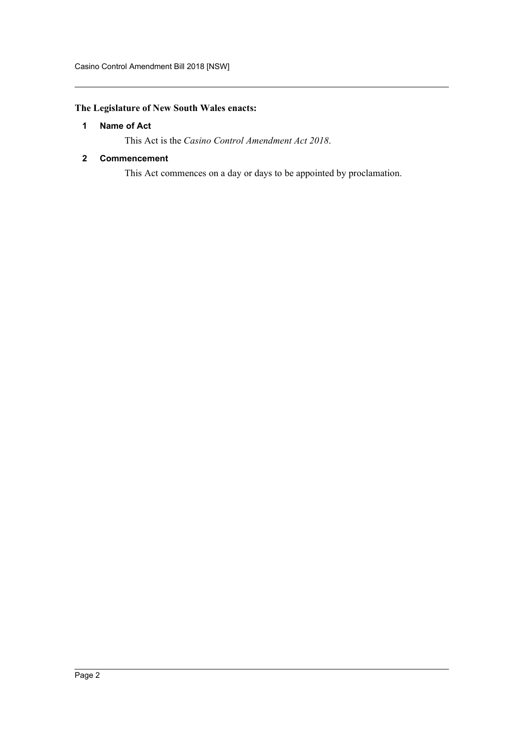# <span id="page-2-0"></span>**The Legislature of New South Wales enacts:**

# **1 Name of Act**

This Act is the *Casino Control Amendment Act 2018*.

## <span id="page-2-1"></span>**2 Commencement**

This Act commences on a day or days to be appointed by proclamation.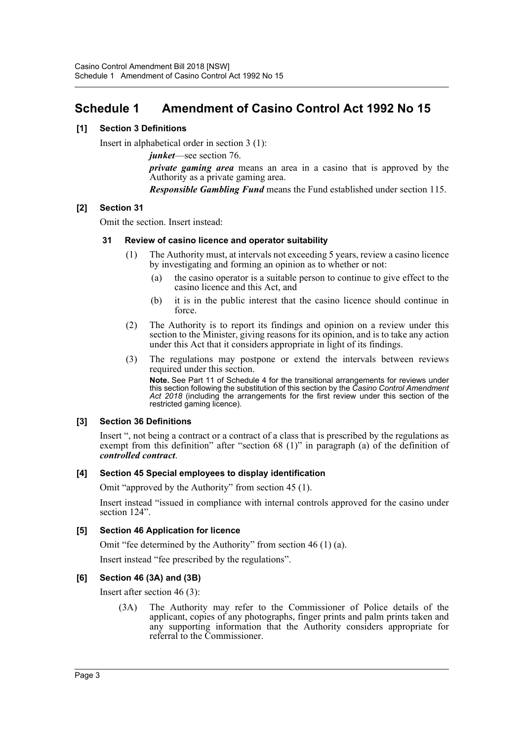# <span id="page-3-0"></span>**Schedule 1 Amendment of Casino Control Act 1992 No 15**

## **[1] Section 3 Definitions**

Insert in alphabetical order in section 3 (1):

*junket*—see section 76.

*private gaming area* means an area in a casino that is approved by the Authority as a private gaming area.

*Responsible Gambling Fund* means the Fund established under section 115.

### **[2] Section 31**

Omit the section. Insert instead:

#### **31 Review of casino licence and operator suitability**

- (1) The Authority must, at intervals not exceeding 5 years, review a casino licence by investigating and forming an opinion as to whether or not:
	- (a) the casino operator is a suitable person to continue to give effect to the casino licence and this Act, and
	- (b) it is in the public interest that the casino licence should continue in force.
- (2) The Authority is to report its findings and opinion on a review under this section to the Minister, giving reasons for its opinion, and is to take any action under this Act that it considers appropriate in light of its findings.
- (3) The regulations may postpone or extend the intervals between reviews required under this section.

**Note.** See Part 11 of Schedule 4 for the transitional arrangements for reviews under this section following the substitution of this section by the *Casino Control Amendment Act 2018* (including the arrangements for the first review under this section of the restricted gaming licence).

#### **[3] Section 36 Definitions**

Insert ", not being a contract or a contract of a class that is prescribed by the regulations as exempt from this definition" after "section 68 (1)" in paragraph (a) of the definition of *controlled contract*.

#### **[4] Section 45 Special employees to display identification**

Omit "approved by the Authority" from section 45 (1).

Insert instead "issued in compliance with internal controls approved for the casino under section 124".

#### **[5] Section 46 Application for licence**

Omit "fee determined by the Authority" from section 46 (1) (a).

Insert instead "fee prescribed by the regulations".

#### **[6] Section 46 (3A) and (3B)**

Insert after section 46 (3):

(3A) The Authority may refer to the Commissioner of Police details of the applicant, copies of any photographs, finger prints and palm prints taken and any supporting information that the Authority considers appropriate for referral to the Commissioner.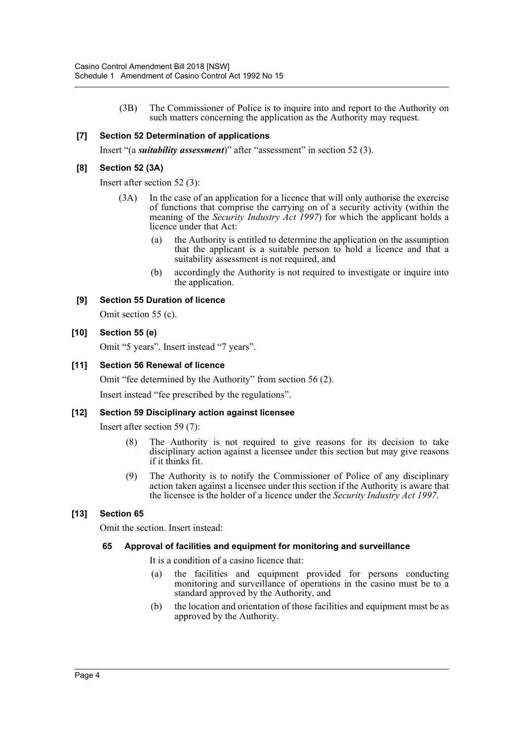(3B) The Commissioner of Police is to inquire into and report to the Authority on such matters concerning the application as the Authority may request.

## **[7] Section 52 Determination of applications**

Insert "(a *suitability assessment*)" after "assessment" in section 52 (3).

#### **[8] Section 52 (3A)**

Insert after section 52 (3):

- (3A) In the case of an application for a licence that will only authorise the exercise of functions that comprise the carrying on of a security activity (within the meaning of the *Security Industry Act 1997*) for which the applicant holds a licence under that Act:
	- (a) the Authority is entitled to determine the application on the assumption that the applicant is a suitable person to hold a licence and that a suitability assessment is not required, and
	- (b) accordingly the Authority is not required to investigate or inquire into the application.

### **[9] Section 55 Duration of licence**

Omit section 55 (c).

#### **[10] Section 55 (e)**

Omit "5 years". Insert instead "7 years".

#### **[11] Section 56 Renewal of licence**

Omit "fee determined by the Authority" from section 56 (2). Insert instead "fee prescribed by the regulations".

#### **[12] Section 59 Disciplinary action against licensee**

Insert after section 59 (7):

- (8) The Authority is not required to give reasons for its decision to take disciplinary action against a licensee under this section but may give reasons if it thinks fit.
- (9) The Authority is to notify the Commissioner of Police of any disciplinary action taken against a licensee under this section if the Authority is aware that the licensee is the holder of a licence under the *Security Industry Act 1997*.

# **[13] Section 65**

Omit the section. Insert instead:

#### **65 Approval of facilities and equipment for monitoring and surveillance**

It is a condition of a casino licence that:

- (a) the facilities and equipment provided for persons conducting monitoring and surveillance of operations in the casino must be to a standard approved by the Authority, and
- (b) the location and orientation of those facilities and equipment must be as approved by the Authority.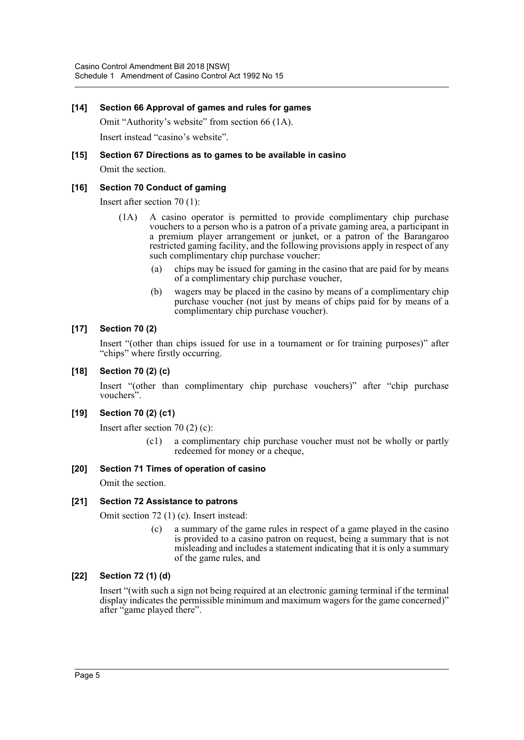#### **[14] Section 66 Approval of games and rules for games**

Omit "Authority's website" from section 66 (1A).

Insert instead "casino's website".

#### **[15] Section 67 Directions as to games to be available in casino**

Omit the section.

### **[16] Section 70 Conduct of gaming**

Insert after section 70 (1):

- (1A) A casino operator is permitted to provide complimentary chip purchase vouchers to a person who is a patron of a private gaming area, a participant in a premium player arrangement or junket, or a patron of the Barangaroo restricted gaming facility, and the following provisions apply in respect of any such complimentary chip purchase voucher:
	- (a) chips may be issued for gaming in the casino that are paid for by means of a complimentary chip purchase voucher,
	- (b) wagers may be placed in the casino by means of a complimentary chip purchase voucher (not just by means of chips paid for by means of a complimentary chip purchase voucher).

# **[17] Section 70 (2)**

Insert "(other than chips issued for use in a tournament or for training purposes)" after "chips" where firstly occurring.

### **[18] Section 70 (2) (c)**

Insert "(other than complimentary chip purchase vouchers)" after "chip purchase vouchers".

# **[19] Section 70 (2) (c1)**

Insert after section 70 (2) (c):

(c1) a complimentary chip purchase voucher must not be wholly or partly redeemed for money or a cheque,

#### **[20] Section 71 Times of operation of casino**

Omit the section.

#### **[21] Section 72 Assistance to patrons**

Omit section 72 (1) (c). Insert instead:

(c) a summary of the game rules in respect of a game played in the casino is provided to a casino patron on request, being a summary that is not misleading and includes a statement indicating that it is only a summary of the game rules, and

#### **[22] Section 72 (1) (d)**

Insert "(with such a sign not being required at an electronic gaming terminal if the terminal display indicates the permissible minimum and maximum wagers for the game concerned)" after "game played there".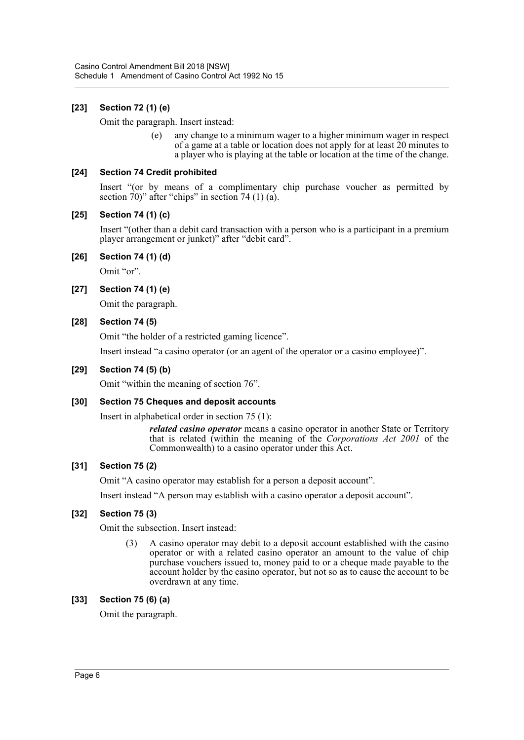## **[23] Section 72 (1) (e)**

Omit the paragraph. Insert instead:

(e) any change to a minimum wager to a higher minimum wager in respect of a game at a table or location does not apply for at least 20 minutes to a player who is playing at the table or location at the time of the change.

#### **[24] Section 74 Credit prohibited**

Insert "(or by means of a complimentary chip purchase voucher as permitted by section  $70$ )" after "chips" in section 74 (1) (a).

#### **[25] Section 74 (1) (c)**

Insert "(other than a debit card transaction with a person who is a participant in a premium player arrangement or junket)" after "debit card".

#### **[26] Section 74 (1) (d)**

Omit "or".

#### **[27] Section 74 (1) (e)**

Omit the paragraph.

#### **[28] Section 74 (5)**

Omit "the holder of a restricted gaming licence".

Insert instead "a casino operator (or an agent of the operator or a casino employee)".

#### **[29] Section 74 (5) (b)**

Omit "within the meaning of section 76".

#### **[30] Section 75 Cheques and deposit accounts**

Insert in alphabetical order in section 75 (1):

*related casino operator* means a casino operator in another State or Territory that is related (within the meaning of the *Corporations Act 2001* of the Commonwealth) to a casino operator under this Act.

#### **[31] Section 75 (2)**

Omit "A casino operator may establish for a person a deposit account".

Insert instead "A person may establish with a casino operator a deposit account".

#### **[32] Section 75 (3)**

Omit the subsection. Insert instead:

(3) A casino operator may debit to a deposit account established with the casino operator or with a related casino operator an amount to the value of chip purchase vouchers issued to, money paid to or a cheque made payable to the account holder by the casino operator, but not so as to cause the account to be overdrawn at any time.

#### **[33] Section 75 (6) (a)**

Omit the paragraph.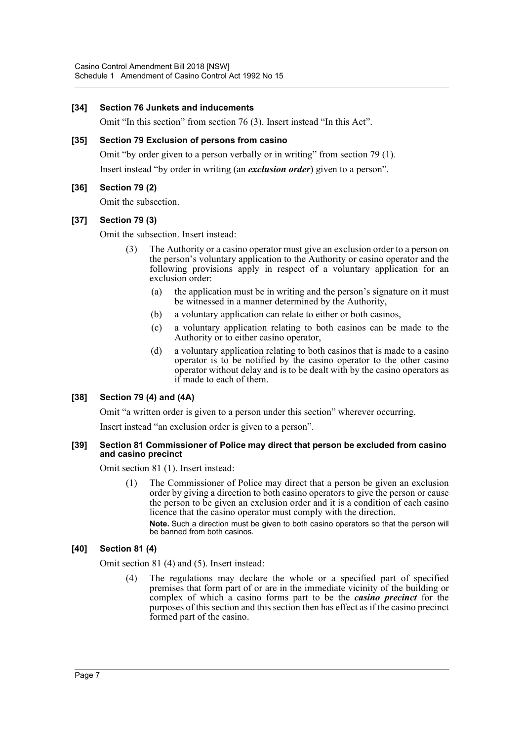#### **[34] Section 76 Junkets and inducements**

Omit "In this section" from section 76 (3). Insert instead "In this Act".

### **[35] Section 79 Exclusion of persons from casino**

Omit "by order given to a person verbally or in writing" from section 79 (1). Insert instead "by order in writing (an *exclusion order*) given to a person".

# **[36] Section 79 (2)**

Omit the subsection.

# **[37] Section 79 (3)**

Omit the subsection. Insert instead:

- The Authority or a casino operator must give an exclusion order to a person on the person's voluntary application to the Authority or casino operator and the following provisions apply in respect of a voluntary application for an exclusion order:
	- (a) the application must be in writing and the person's signature on it must be witnessed in a manner determined by the Authority,
	- (b) a voluntary application can relate to either or both casinos,
	- (c) a voluntary application relating to both casinos can be made to the Authority or to either casino operator,
	- (d) a voluntary application relating to both casinos that is made to a casino operator is to be notified by the casino operator to the other casino operator without delay and is to be dealt with by the casino operators as if made to each of them.

# **[38] Section 79 (4) and (4A)**

Omit "a written order is given to a person under this section" wherever occurring.

Insert instead "an exclusion order is given to a person".

#### **[39] Section 81 Commissioner of Police may direct that person be excluded from casino and casino precinct**

Omit section 81 (1). Insert instead:

(1) The Commissioner of Police may direct that a person be given an exclusion order by giving a direction to both casino operators to give the person or cause the person to be given an exclusion order and it is a condition of each casino licence that the casino operator must comply with the direction.

**Note.** Such a direction must be given to both casino operators so that the person will be banned from both casinos.

# **[40] Section 81 (4)**

Omit section 81 (4) and (5). Insert instead:

(4) The regulations may declare the whole or a specified part of specified premises that form part of or are in the immediate vicinity of the building or complex of which a casino forms part to be the *casino precinct* for the purposes of this section and this section then has effect as if the casino precinct formed part of the casino.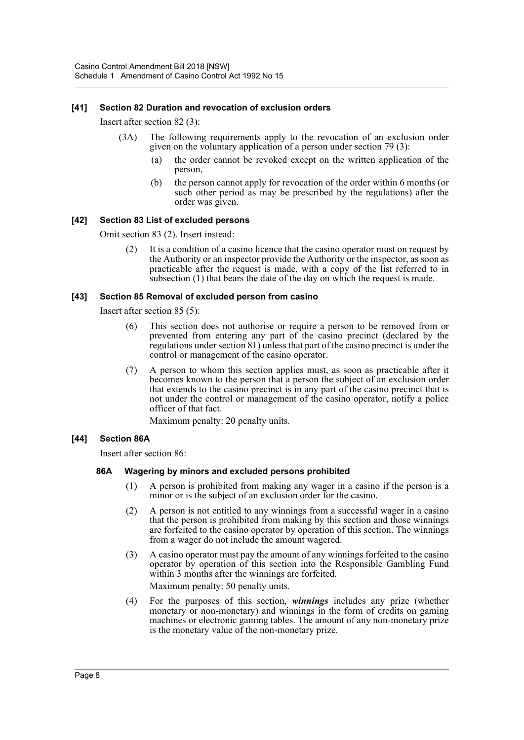#### **[41] Section 82 Duration and revocation of exclusion orders**

Insert after section 82 (3):

- (3A) The following requirements apply to the revocation of an exclusion order given on the voluntary application of a person under section 79 (3):
	- (a) the order cannot be revoked except on the written application of the person,
	- (b) the person cannot apply for revocation of the order within 6 months (or such other period as may be prescribed by the regulations) after the order was given.

#### **[42] Section 83 List of excluded persons**

Omit section 83 (2). Insert instead:

(2) It is a condition of a casino licence that the casino operator must on request by the Authority or an inspector provide the Authority or the inspector, as soon as practicable after the request is made, with a copy of the list referred to in subsection (1) that bears the date of the day on which the request is made.

#### **[43] Section 85 Removal of excluded person from casino**

Insert after section 85 (5):

- (6) This section does not authorise or require a person to be removed from or prevented from entering any part of the casino precinct (declared by the regulations under section 81) unless that part of the casino precinct is under the control or management of the casino operator.
- (7) A person to whom this section applies must, as soon as practicable after it becomes known to the person that a person the subject of an exclusion order that extends to the casino precinct is in any part of the casino precinct that is not under the control or management of the casino operator, notify a police officer of that fact.

Maximum penalty: 20 penalty units.

#### **[44] Section 86A**

Insert after section 86:

#### **86A Wagering by minors and excluded persons prohibited**

- (1) A person is prohibited from making any wager in a casino if the person is a minor or is the subject of an exclusion order for the casino.
- (2) A person is not entitled to any winnings from a successful wager in a casino that the person is prohibited from making by this section and those winnings are forfeited to the casino operator by operation of this section. The winnings from a wager do not include the amount wagered.
- (3) A casino operator must pay the amount of any winnings forfeited to the casino operator by operation of this section into the Responsible Gambling Fund within 3 months after the winnings are forfeited. Maximum penalty: 50 penalty units.
- (4) For the purposes of this section, *winnings* includes any prize (whether monetary or non-monetary) and winnings in the form of credits on gaming machines or electronic gaming tables. The amount of any non-monetary prize is the monetary value of the non-monetary prize.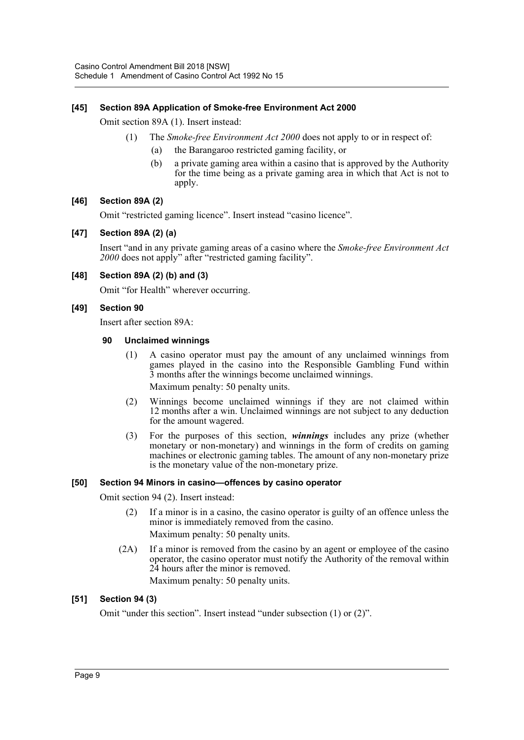### **[45] Section 89A Application of Smoke-free Environment Act 2000**

Omit section 89A (1). Insert instead:

- (1) The *Smoke-free Environment Act 2000* does not apply to or in respect of:
	- (a) the Barangaroo restricted gaming facility, or
	- (b) a private gaming area within a casino that is approved by the Authority for the time being as a private gaming area in which that Act is not to apply.

#### **[46] Section 89A (2)**

Omit "restricted gaming licence". Insert instead "casino licence".

#### **[47] Section 89A (2) (a)**

Insert "and in any private gaming areas of a casino where the *Smoke-free Environment Act 2000* does not apply" after "restricted gaming facility".

#### **[48] Section 89A (2) (b) and (3)**

Omit "for Health" wherever occurring.

#### **[49] Section 90**

Insert after section 89A:

#### **90 Unclaimed winnings**

- (1) A casino operator must pay the amount of any unclaimed winnings from games played in the casino into the Responsible Gambling Fund within 3 months after the winnings become unclaimed winnings. Maximum penalty: 50 penalty units.
- (2) Winnings become unclaimed winnings if they are not claimed within 12 months after a win. Unclaimed winnings are not subject to any deduction for the amount wagered.
- (3) For the purposes of this section, *winnings* includes any prize (whether monetary or non-monetary) and winnings in the form of credits on gaming machines or electronic gaming tables. The amount of any non-monetary prize is the monetary value of the non-monetary prize.

#### **[50] Section 94 Minors in casino—offences by casino operator**

Omit section 94 (2). Insert instead:

- (2) If a minor is in a casino, the casino operator is guilty of an offence unless the minor is immediately removed from the casino. Maximum penalty: 50 penalty units.
- (2A) If a minor is removed from the casino by an agent or employee of the casino operator, the casino operator must notify the Authority of the removal within 24 hours after the minor is removed. Maximum penalty: 50 penalty units.

#### **[51] Section 94 (3)**

Omit "under this section". Insert instead "under subsection (1) or (2)".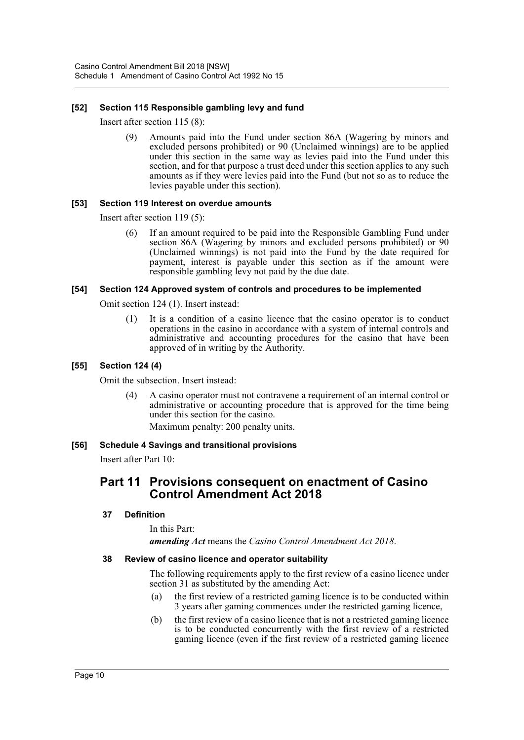### **[52] Section 115 Responsible gambling levy and fund**

Insert after section 115 (8):

(9) Amounts paid into the Fund under section 86A (Wagering by minors and excluded persons prohibited) or 90 (Unclaimed winnings) are to be applied under this section in the same way as levies paid into the Fund under this section, and for that purpose a trust deed under this section applies to any such amounts as if they were levies paid into the Fund (but not so as to reduce the levies payable under this section).

#### **[53] Section 119 Interest on overdue amounts**

Insert after section 119 (5):

(6) If an amount required to be paid into the Responsible Gambling Fund under section 86A (Wagering by minors and excluded persons prohibited) or 90 (Unclaimed winnings) is not paid into the Fund by the date required for payment, interest is payable under this section as if the amount were responsible gambling levy not paid by the due date.

#### **[54] Section 124 Approved system of controls and procedures to be implemented**

Omit section 124 (1). Insert instead:

(1) It is a condition of a casino licence that the casino operator is to conduct operations in the casino in accordance with a system of internal controls and administrative and accounting procedures for the casino that have been approved of in writing by the Authority.

#### **[55] Section 124 (4)**

Omit the subsection. Insert instead:

(4) A casino operator must not contravene a requirement of an internal control or administrative or accounting procedure that is approved for the time being under this section for the casino.

Maximum penalty: 200 penalty units.

#### **[56] Schedule 4 Savings and transitional provisions**

Insert after Part 10:

# **Part 11 Provisions consequent on enactment of Casino Control Amendment Act 2018**

#### **37 Definition**

In this Part:

*amending Act* means the *Casino Control Amendment Act 2018*.

#### **38 Review of casino licence and operator suitability**

The following requirements apply to the first review of a casino licence under section 31 as substituted by the amending Act:

- (a) the first review of a restricted gaming licence is to be conducted within 3 years after gaming commences under the restricted gaming licence,
- (b) the first review of a casino licence that is not a restricted gaming licence is to be conducted concurrently with the first review of a restricted gaming licence (even if the first review of a restricted gaming licence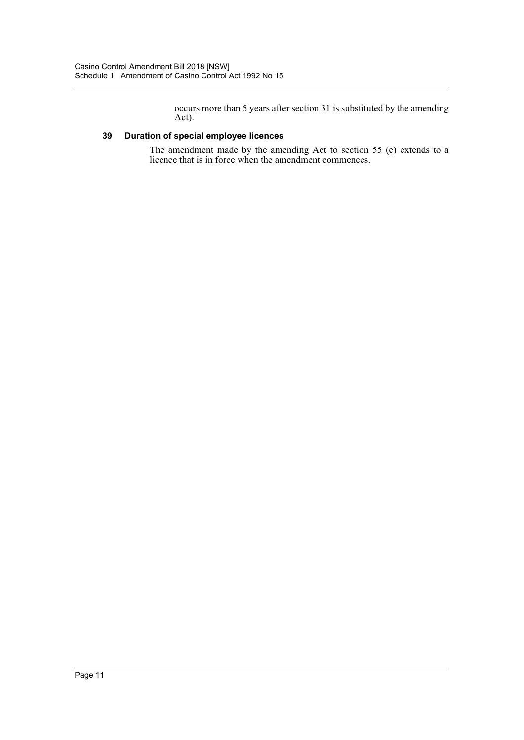occurs more than 5 years after section 31 is substituted by the amending Act).

# **39 Duration of special employee licences**

The amendment made by the amending Act to section 55 (e) extends to a licence that is in force when the amendment commences.